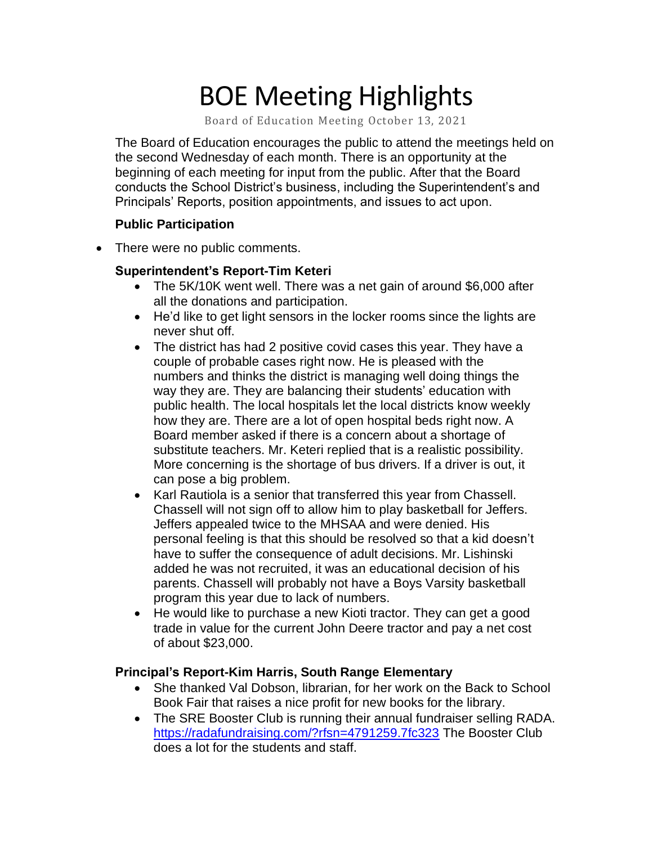# BOE Meeting Highlights

Board of Education Meeting October 13, 2021

 The Board of Education encourages the public to attend the meetings held on the second Wednesday of each month. There is an opportunity at the beginning of each meeting for input from the public. After that the Board conducts the School District's business, including the Superintendent's and Principals' Reports, position appointments, and issues to act upon.

## **Public Participation**

• There were no public comments.

## **Superintendent's Report-Tim Keteri**

- The 5K/10K went well. There was a net gain of around \$6,000 after all the donations and participation.
- He'd like to get light sensors in the locker rooms since the lights are never shut off.
- The district has had 2 positive covid cases this year. They have a couple of probable cases right now. He is pleased with the numbers and thinks the district is managing well doing things the way they are. They are balancing their students' education with public health. The local hospitals let the local districts know weekly how they are. There are a lot of open hospital beds right now. A Board member asked if there is a concern about a shortage of substitute teachers. Mr. Keteri replied that is a realistic possibility. More concerning is the shortage of bus drivers. If a driver is out, it can pose a big problem.
- Karl Rautiola is a senior that transferred this year from Chassell. Chassell will not sign off to allow him to play basketball for Jeffers. Jeffers appealed twice to the MHSAA and were denied. His personal feeling is that this should be resolved so that a kid doesn't have to suffer the consequence of adult decisions. Mr. Lishinski added he was not recruited, it was an educational decision of his parents. Chassell will probably not have a Boys Varsity basketball program this year due to lack of numbers.
- He would like to purchase a new Kioti tractor. They can get a good trade in value for the current John Deere tractor and pay a net cost of about \$23,000.

#### **Principal's Report-Kim Harris, South Range Elementary**

- • She thanked Val Dobson, librarian, for her work on the Back to School Book Fair that raises a nice profit for new books for the library.
- • The SRE Booster Club is running their annual fundraiser selling RADA. does a lot for the students and staff. <https://radafundraising.com/?rfsn=4791259.7fc323>The Booster Club